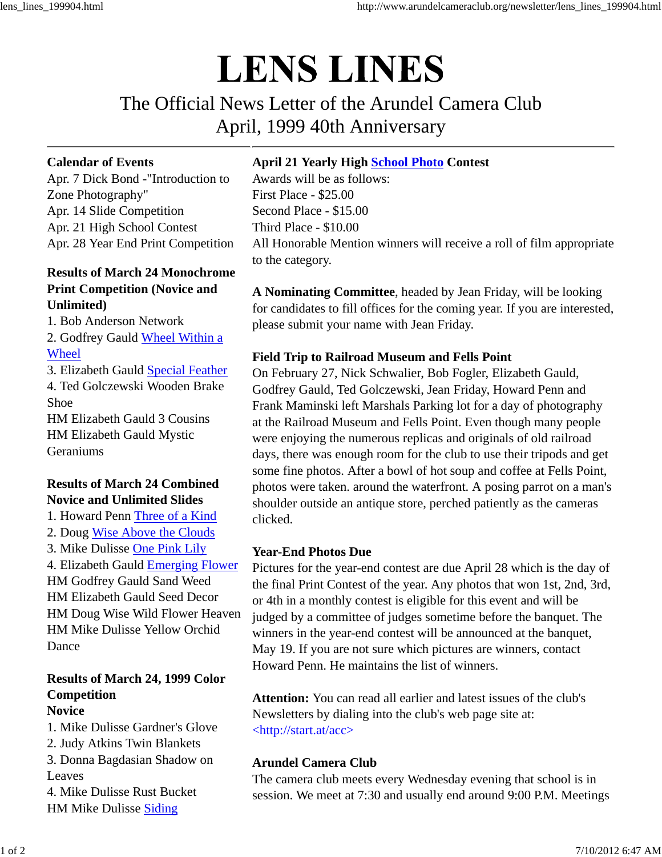# **LENS LINES**

The Official News Letter of the Arundel Camera Club April, 1999 40th Anniversary

### **Calendar of Events**

Apr. 7 Dick Bond -"Introduction to Zone Photography" Apr. 14 Slide Competition Apr. 21 High School Contest Apr. 28 Year End Print Competition

## **Results of March 24 Monochrome Print Competition (Novice and Unlimited)**

1. Bob Anderson Network

2. Godfrey Gauld Wheel Within a Wheel

3. Elizabeth Gauld Special Feather 4. Ted Golczewski Wooden Brake Shoe HM Elizabeth Gauld 3 Cousins HM Elizabeth Gauld Mystic Geraniums

# **Results of March 24 Combined Novice and Unlimited Slides**

1. Howard Penn Three of a Kind 2. Doug Wise Above the Clouds 3. Mike Dulisse One Pink Lily

4. Elizabeth Gauld Emerging Flower HM Godfrey Gauld Sand Weed HM Elizabeth Gauld Seed Decor HM Doug Wise Wild Flower Heaven HM Mike Dulisse Yellow Orchid Dance

#### **Results of March 24, 1999 Color Competition Novice**

1. Mike Dulisse Gardner's Glove 2. Judy Atkins Twin Blankets 3. Donna Bagdasian Shadow on Leaves 4. Mike Dulisse Rust Bucket HM Mike Dulisse Siding

## **April 21 Yearly High School Photo Contest**

Awards will be as follows: First Place - \$25.00 Second Place - \$15.00 Third Place - \$10.00 All Honorable Mention winners will receive a roll of film appropriate to the category.

**A Nominating Committee**, headed by Jean Friday, will be looking for candidates to fill offices for the coming year. If you are interested, please submit your name with Jean Friday.

## **Field Trip to Railroad Museum and Fells Point**

On February 27, Nick Schwalier, Bob Fogler, Elizabeth Gauld, Godfrey Gauld, Ted Golczewski, Jean Friday, Howard Penn and Frank Maminski left Marshals Parking lot for a day of photography at the Railroad Museum and Fells Point. Even though many people were enjoying the numerous replicas and originals of old railroad days, there was enough room for the club to use their tripods and get some fine photos. After a bowl of hot soup and coffee at Fells Point, photos were taken. around the waterfront. A posing parrot on a man's shoulder outside an antique store, perched patiently as the cameras clicked.

#### **Year-End Photos Due**

Pictures for the year-end contest are due April 28 which is the day of the final Print Contest of the year. Any photos that won 1st, 2nd, 3rd, or 4th in a monthly contest is eligible for this event and will be judged by a committee of judges sometime before the banquet. The winners in the year-end contest will be announced at the banquet, May 19. If you are not sure which pictures are winners, contact Howard Penn. He maintains the list of winners.

**Attention:** You can read all earlier and latest issues of the club's Newsletters by dialing into the club's web page site at: <http://start.at/acc>

## **Arundel Camera Club**

The camera club meets every Wednesday evening that school is in session. We meet at 7:30 and usually end around 9:00 P.M. Meetings